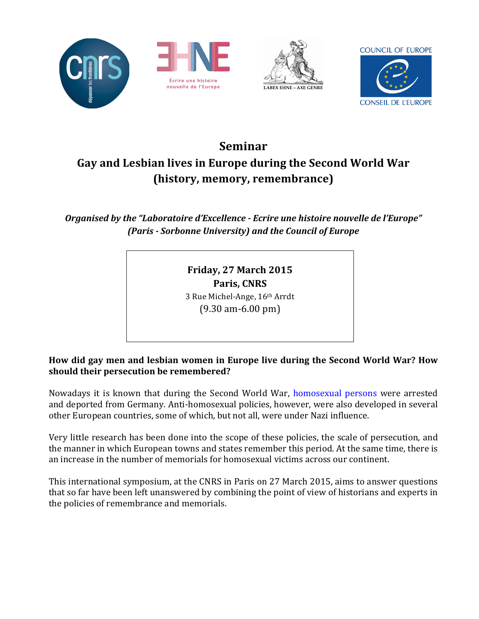







# **Seminar!** Gay and Lesbian lives in Europe during the Second World War (history, memory, remembrance)

*Organised by the "Laboratoire d'Excellence - Ecrire une histoire nouvelle de l'Europe" (Paris - Sorbonne University) and the Council of Europe* 

> **Friday, 27 March 2015 Paris, CNRS** 3 Rue Michel-Ange, 16th Arrdt  $(9.30 \text{ am}-6.00 \text{ pm})$

How did gay men and lesbian women in Europe live during the Second World War? How should their persecution be remembered?

Nowadays it is known that during the Second World War, homosexual persons were arrested and deported from Germany. Anti-homosexual policies, however, were also developed in several other European countries, some of which, but not all, were under Nazi influence.

Very little research has been done into the scope of these policies, the scale of persecution, and the manner in which European towns and states remember this period. At the same time, there is an increase in the number of memorials for homosexual victims across our continent.

This international symposium, at the CNRS in Paris on 27 March 2015, aims to answer questions that so far have been left unanswered by combining the point of view of historians and experts in the policies of remembrance and memorials.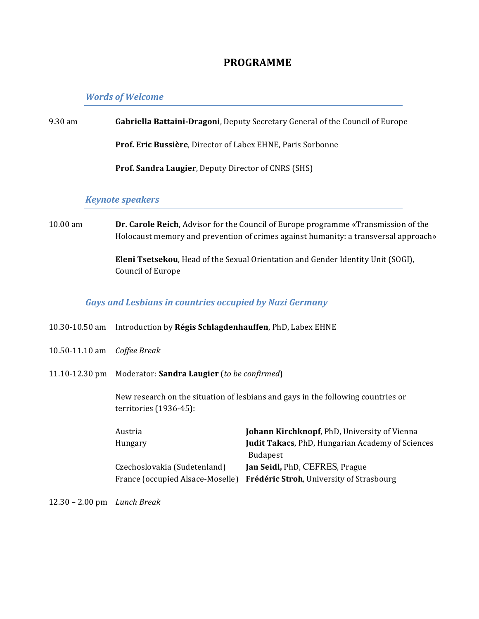# **PROGRAMME**

### **Words of Welcome**

# 9.30 am **Gabriella Battaini-Dragoni**, Deputy Secretary General of the Council of Europe

Prof. Eric Bussière, Director of Labex EHNE, Paris Sorbonne

**Prof. Sandra Laugier**, Deputy Director of CNRS (SHS)

#### *Keynote\*speakers*

10.00 am **Dr. Carole Reich**, Advisor for the Council of Europe programme «Transmission of the Holocaust memory and prevention of crimes against humanity: a transversal approach»

> **Eleni Tsetsekou**, Head of the Sexual Orientation and Gender Identity Unit (SOGI), Council of Europe

#### Gays and Lesbians in countries occupied by Nazi Germany

- 10.30-10.50 am Introduction by Régis Schlagdenhauffen, PhD, Labex EHNE
- 10.50+11.10"am *Coffee%Break*
- 11.10-12.30 pm Moderator: **Sandra Laugier** (*to be confirmed*)

New research on the situation of lesbians and gays in the following countries or  $t$ erritories (1936-45):

| Austria                          | Johann Kirchknopf, PhD, University of Vienna            |
|----------------------------------|---------------------------------------------------------|
| Hungary                          | <b>Judit Takacs, PhD, Hungarian Academy of Sciences</b> |
|                                  | <b>Budapest</b>                                         |
| Czechoslovakia (Sudetenland)     | <b>Jan Seidl, PhD, CEFRES, Prague</b>                   |
| France (occupied Alsace-Moselle) | <b>Frédéric Stroh, University of Strasbourg</b>         |

12.30"– 2.00"pm *Lunch%Break*